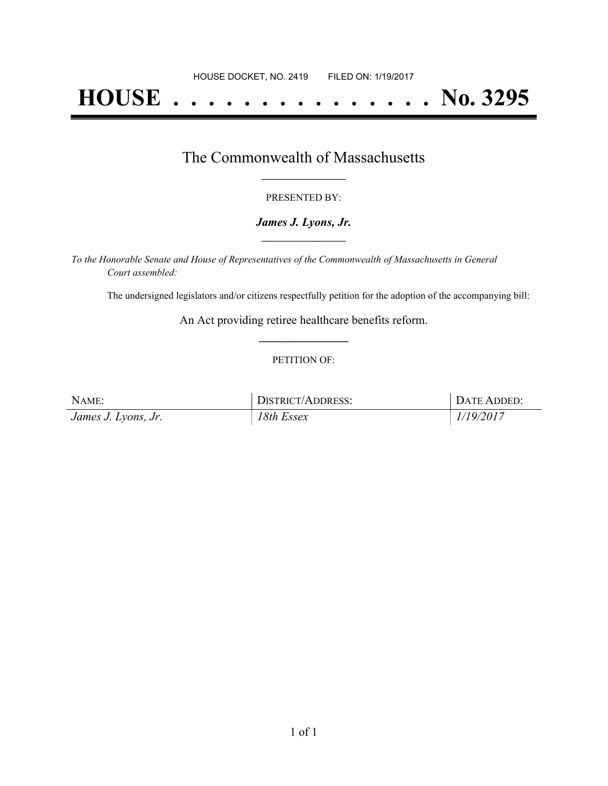# **HOUSE . . . . . . . . . . . . . . . No. 3295**

### The Commonwealth of Massachusetts **\_\_\_\_\_\_\_\_\_\_\_\_\_\_\_\_\_**

#### PRESENTED BY:

#### *James J. Lyons, Jr.* **\_\_\_\_\_\_\_\_\_\_\_\_\_\_\_\_\_**

*To the Honorable Senate and House of Representatives of the Commonwealth of Massachusetts in General Court assembled:*

The undersigned legislators and/or citizens respectfully petition for the adoption of the accompanying bill:

An Act providing retiree healthcare benefits reform. **\_\_\_\_\_\_\_\_\_\_\_\_\_\_\_**

#### PETITION OF:

| NAME:               | <b>DISTRICT/ADDRESS:</b> | DATE ADDED: |
|---------------------|--------------------------|-------------|
| James J. Lyons, Jr. | 18th Essex               | 1/19/2017   |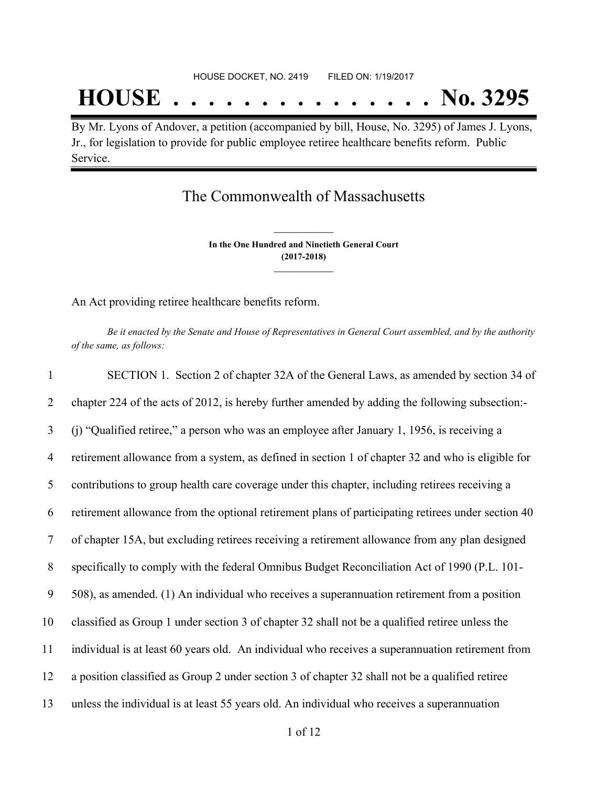## **HOUSE . . . . . . . . . . . . . . . No. 3295**

By Mr. Lyons of Andover, a petition (accompanied by bill, House, No. 3295) of James J. Lyons, Jr., for legislation to provide for public employee retiree healthcare benefits reform. Public Service.

## The Commonwealth of Massachusetts

**In the One Hundred and Ninetieth General Court (2017-2018) \_\_\_\_\_\_\_\_\_\_\_\_\_\_\_**

**\_\_\_\_\_\_\_\_\_\_\_\_\_\_\_**

An Act providing retiree healthcare benefits reform.

Be it enacted by the Senate and House of Representatives in General Court assembled, and by the authority *of the same, as follows:*

| $\mathbf{1}$   | SECTION 1. Section 2 of chapter 32A of the General Laws, as amended by section 34 of               |
|----------------|----------------------------------------------------------------------------------------------------|
| 2              | chapter 224 of the acts of 2012, is hereby further amended by adding the following subsection:-    |
| $\overline{3}$ | (i) "Qualified retiree," a person who was an employee after January 1, 1956, is receiving a        |
| $\overline{4}$ | retirement allowance from a system, as defined in section 1 of chapter 32 and who is eligible for  |
| 5              | contributions to group health care coverage under this chapter, including retirees receiving a     |
| 6              | retirement allowance from the optional retirement plans of participating retirees under section 40 |
| $\tau$         | of chapter 15A, but excluding retirees receiving a retirement allowance from any plan designed     |
| 8              | specifically to comply with the federal Omnibus Budget Reconciliation Act of 1990 (P.L. 101-       |
| 9              | 508), as amended. (1) An individual who receives a superannuation retirement from a position       |
| 10             | classified as Group 1 under section 3 of chapter 32 shall not be a qualified retiree unless the    |
| 11             | individual is at least 60 years old. An individual who receives a superannuation retirement from   |
| 12             | a position classified as Group 2 under section 3 of chapter 32 shall not be a qualified retiree    |
| 13             | unless the individual is at least 55 years old. An individual who receives a superannuation        |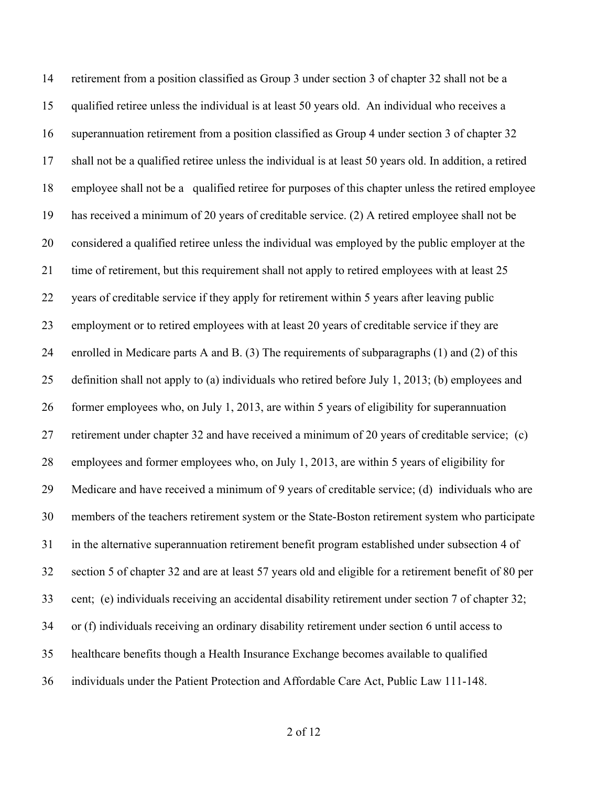retirement from a position classified as Group 3 under section 3 of chapter 32 shall not be a qualified retiree unless the individual is at least 50 years old. An individual who receives a superannuation retirement from a position classified as Group 4 under section 3 of chapter 32 shall not be a qualified retiree unless the individual is at least 50 years old. In addition, a retired employee shall not be a qualified retiree for purposes of this chapter unless the retired employee has received a minimum of 20 years of creditable service. (2) A retired employee shall not be considered a qualified retiree unless the individual was employed by the public employer at the time of retirement, but this requirement shall not apply to retired employees with at least 25 years of creditable service if they apply for retirement within 5 years after leaving public employment or to retired employees with at least 20 years of creditable service if they are enrolled in Medicare parts A and B. (3) The requirements of subparagraphs (1) and (2) of this definition shall not apply to (a) individuals who retired before July 1, 2013; (b) employees and former employees who, on July 1, 2013, are within 5 years of eligibility for superannuation retirement under chapter 32 and have received a minimum of 20 years of creditable service; (c) employees and former employees who, on July 1, 2013, are within 5 years of eligibility for Medicare and have received a minimum of 9 years of creditable service; (d) individuals who are members of the teachers retirement system or the State-Boston retirement system who participate in the alternative superannuation retirement benefit program established under subsection 4 of section 5 of chapter 32 and are at least 57 years old and eligible for a retirement benefit of 80 per cent; (e) individuals receiving an accidental disability retirement under section 7 of chapter 32; or (f) individuals receiving an ordinary disability retirement under section 6 until access to healthcare benefits though a Health Insurance Exchange becomes available to qualified individuals under the Patient Protection and Affordable Care Act, Public Law 111-148.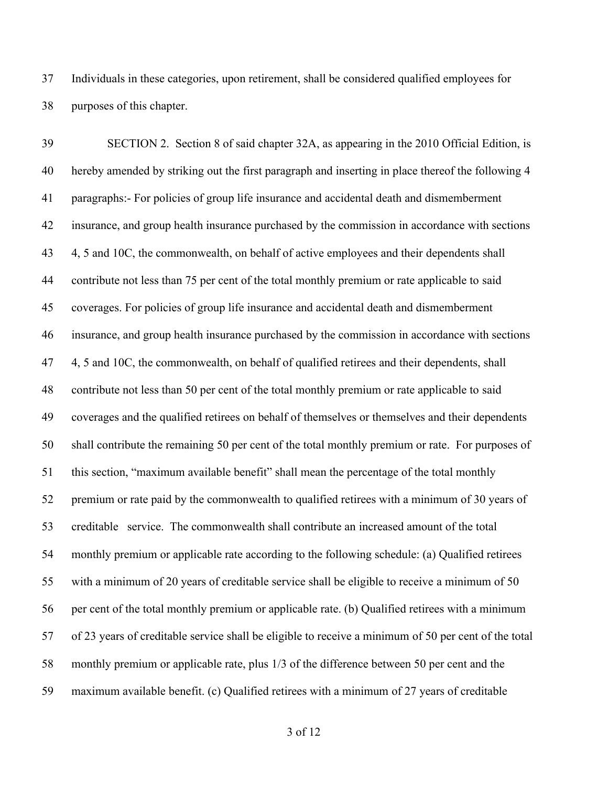Individuals in these categories, upon retirement, shall be considered qualified employees for purposes of this chapter.

 SECTION 2. Section 8 of said chapter 32A, as appearing in the 2010 Official Edition, is hereby amended by striking out the first paragraph and inserting in place thereof the following 4 paragraphs:- For policies of group life insurance and accidental death and dismemberment insurance, and group health insurance purchased by the commission in accordance with sections 43 4, 5 and 10C, the commonwealth, on behalf of active employees and their dependents shall contribute not less than 75 per cent of the total monthly premium or rate applicable to said coverages. For policies of group life insurance and accidental death and dismemberment insurance, and group health insurance purchased by the commission in accordance with sections 47 4, 5 and 10C, the commonwealth, on behalf of qualified retirees and their dependents, shall contribute not less than 50 per cent of the total monthly premium or rate applicable to said coverages and the qualified retirees on behalf of themselves or themselves and their dependents shall contribute the remaining 50 per cent of the total monthly premium or rate. For purposes of this section, "maximum available benefit" shall mean the percentage of the total monthly premium or rate paid by the commonwealth to qualified retirees with a minimum of 30 years of creditable service. The commonwealth shall contribute an increased amount of the total monthly premium or applicable rate according to the following schedule: (a) Qualified retirees with a minimum of 20 years of creditable service shall be eligible to receive a minimum of 50 per cent of the total monthly premium or applicable rate. (b) Qualified retirees with a minimum of 23 years of creditable service shall be eligible to receive a minimum of 50 per cent of the total monthly premium or applicable rate, plus 1/3 of the difference between 50 per cent and the maximum available benefit. (c) Qualified retirees with a minimum of 27 years of creditable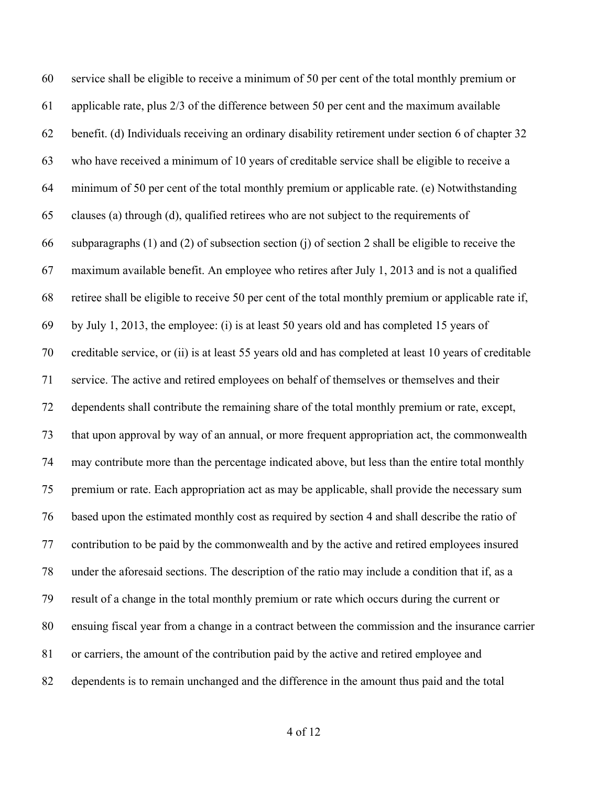service shall be eligible to receive a minimum of 50 per cent of the total monthly premium or applicable rate, plus 2/3 of the difference between 50 per cent and the maximum available benefit. (d) Individuals receiving an ordinary disability retirement under section 6 of chapter 32 who have received a minimum of 10 years of creditable service shall be eligible to receive a minimum of 50 per cent of the total monthly premium or applicable rate. (e) Notwithstanding clauses (a) through (d), qualified retirees who are not subject to the requirements of subparagraphs (1) and (2) of subsection section (j) of section 2 shall be eligible to receive the maximum available benefit. An employee who retires after July 1, 2013 and is not a qualified retiree shall be eligible to receive 50 per cent of the total monthly premium or applicable rate if, by July 1, 2013, the employee: (i) is at least 50 years old and has completed 15 years of creditable service, or (ii) is at least 55 years old and has completed at least 10 years of creditable service. The active and retired employees on behalf of themselves or themselves and their dependents shall contribute the remaining share of the total monthly premium or rate, except, that upon approval by way of an annual, or more frequent appropriation act, the commonwealth may contribute more than the percentage indicated above, but less than the entire total monthly premium or rate. Each appropriation act as may be applicable, shall provide the necessary sum based upon the estimated monthly cost as required by section 4 and shall describe the ratio of contribution to be paid by the commonwealth and by the active and retired employees insured under the aforesaid sections. The description of the ratio may include a condition that if, as a result of a change in the total monthly premium or rate which occurs during the current or ensuing fiscal year from a change in a contract between the commission and the insurance carrier or carriers, the amount of the contribution paid by the active and retired employee and dependents is to remain unchanged and the difference in the amount thus paid and the total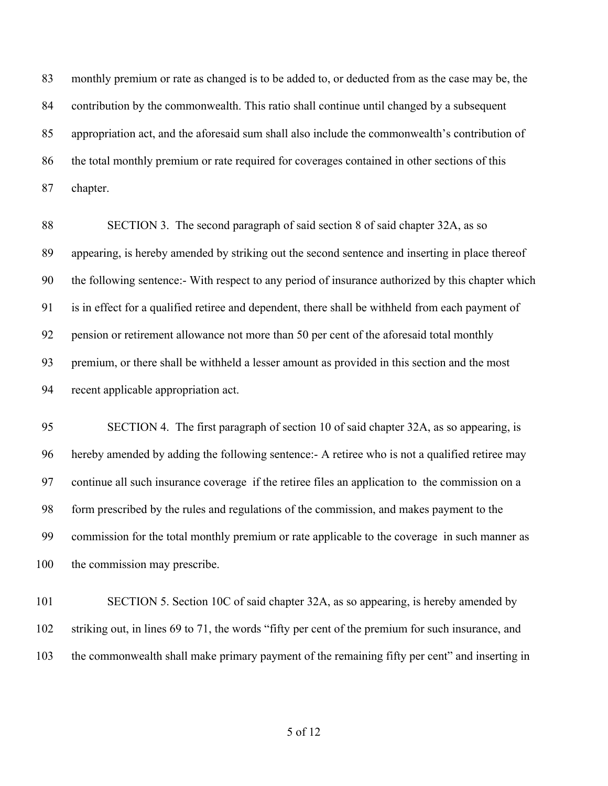monthly premium or rate as changed is to be added to, or deducted from as the case may be, the contribution by the commonwealth. This ratio shall continue until changed by a subsequent appropriation act, and the aforesaid sum shall also include the commonwealth's contribution of the total monthly premium or rate required for coverages contained in other sections of this chapter.

 SECTION 3. The second paragraph of said section 8 of said chapter 32A, as so appearing, is hereby amended by striking out the second sentence and inserting in place thereof the following sentence:- With respect to any period of insurance authorized by this chapter which is in effect for a qualified retiree and dependent, there shall be withheld from each payment of pension or retirement allowance not more than 50 per cent of the aforesaid total monthly premium, or there shall be withheld a lesser amount as provided in this section and the most recent applicable appropriation act.

 SECTION 4. The first paragraph of section 10 of said chapter 32A, as so appearing, is hereby amended by adding the following sentence:- A retiree who is not a qualified retiree may continue all such insurance coverage if the retiree files an application to the commission on a form prescribed by the rules and regulations of the commission, and makes payment to the commission for the total monthly premium or rate applicable to the coverage in such manner as 100 the commission may prescribe.

101 SECTION 5. Section 10C of said chapter 32A, as so appearing, is hereby amended by striking out, in lines 69 to 71, the words "fifty per cent of the premium for such insurance, and the commonwealth shall make primary payment of the remaining fifty per cent" and inserting in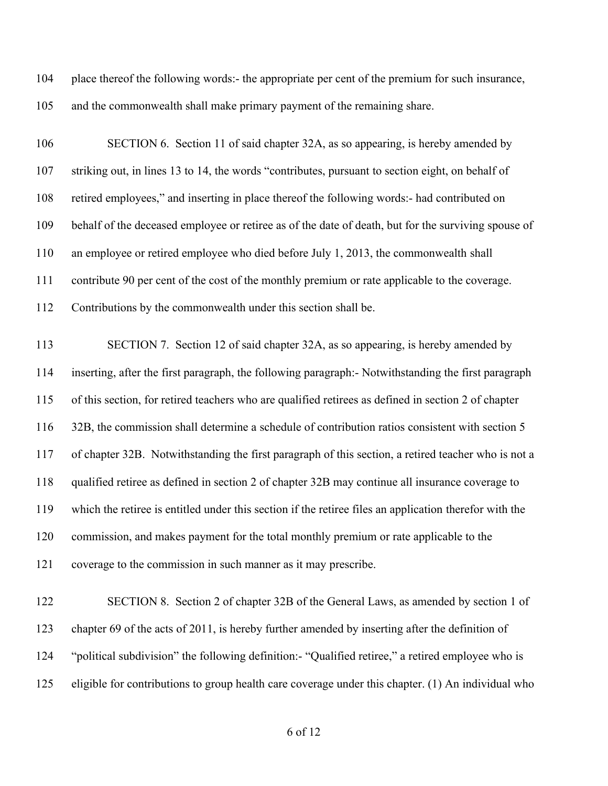place thereof the following words:- the appropriate per cent of the premium for such insurance, and the commonwealth shall make primary payment of the remaining share.

 SECTION 6. Section 11 of said chapter 32A, as so appearing, is hereby amended by striking out, in lines 13 to 14, the words "contributes, pursuant to section eight, on behalf of retired employees," and inserting in place thereof the following words:- had contributed on behalf of the deceased employee or retiree as of the date of death, but for the surviving spouse of an employee or retired employee who died before July 1, 2013, the commonwealth shall contribute 90 per cent of the cost of the monthly premium or rate applicable to the coverage. Contributions by the commonwealth under this section shall be. SECTION 7. Section 12 of said chapter 32A, as so appearing, is hereby amended by inserting, after the first paragraph, the following paragraph:- Notwithstanding the first paragraph of this section, for retired teachers who are qualified retirees as defined in section 2 of chapter 32B, the commission shall determine a schedule of contribution ratios consistent with section 5 of chapter 32B. Notwithstanding the first paragraph of this section, a retired teacher who is not a qualified retiree as defined in section 2 of chapter 32B may continue all insurance coverage to which the retiree is entitled under this section if the retiree files an application therefor with the commission, and makes payment for the total monthly premium or rate applicable to the

coverage to the commission in such manner as it may prescribe.

 SECTION 8. Section 2 of chapter 32B of the General Laws, as amended by section 1 of chapter 69 of the acts of 2011, is hereby further amended by inserting after the definition of "political subdivision" the following definition:- "Qualified retiree," a retired employee who is eligible for contributions to group health care coverage under this chapter. (1) An individual who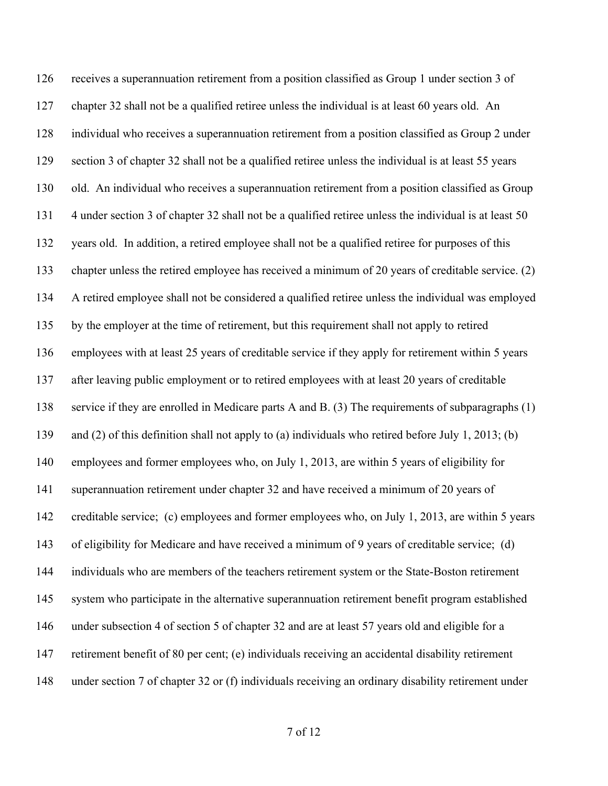receives a superannuation retirement from a position classified as Group 1 under section 3 of chapter 32 shall not be a qualified retiree unless the individual is at least 60 years old. An individual who receives a superannuation retirement from a position classified as Group 2 under section 3 of chapter 32 shall not be a qualified retiree unless the individual is at least 55 years old. An individual who receives a superannuation retirement from a position classified as Group 4 under section 3 of chapter 32 shall not be a qualified retiree unless the individual is at least 50 years old. In addition, a retired employee shall not be a qualified retiree for purposes of this chapter unless the retired employee has received a minimum of 20 years of creditable service. (2) A retired employee shall not be considered a qualified retiree unless the individual was employed by the employer at the time of retirement, but this requirement shall not apply to retired employees with at least 25 years of creditable service if they apply for retirement within 5 years after leaving public employment or to retired employees with at least 20 years of creditable service if they are enrolled in Medicare parts A and B. (3) The requirements of subparagraphs (1) and (2) of this definition shall not apply to (a) individuals who retired before July 1, 2013; (b) employees and former employees who, on July 1, 2013, are within 5 years of eligibility for superannuation retirement under chapter 32 and have received a minimum of 20 years of creditable service; (c) employees and former employees who, on July 1, 2013, are within 5 years of eligibility for Medicare and have received a minimum of 9 years of creditable service; (d) individuals who are members of the teachers retirement system or the State-Boston retirement system who participate in the alternative superannuation retirement benefit program established under subsection 4 of section 5 of chapter 32 and are at least 57 years old and eligible for a retirement benefit of 80 per cent; (e) individuals receiving an accidental disability retirement under section 7 of chapter 32 or (f) individuals receiving an ordinary disability retirement under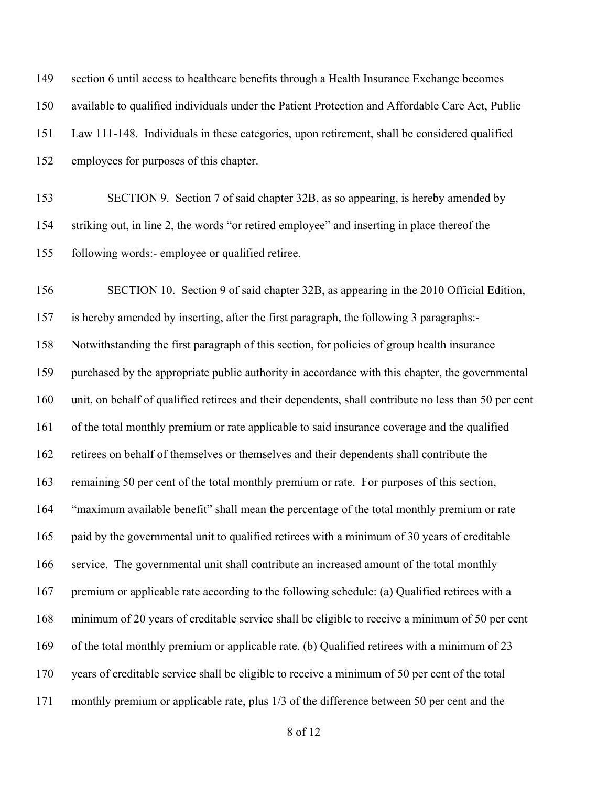| 149 | section 6 until access to healthcare benefits through a Health Insurance Exchange becomes             |
|-----|-------------------------------------------------------------------------------------------------------|
| 150 | available to qualified individuals under the Patient Protection and Affordable Care Act, Public       |
| 151 | Law 111-148. Individuals in these categories, upon retirement, shall be considered qualified          |
| 152 | employees for purposes of this chapter.                                                               |
| 153 | SECTION 9. Section 7 of said chapter 32B, as so appearing, is hereby amended by                       |
| 154 | striking out, in line 2, the words "or retired employee" and inserting in place thereof the           |
| 155 | following words:- employee or qualified retiree.                                                      |
| 156 | SECTION 10. Section 9 of said chapter 32B, as appearing in the 2010 Official Edition,                 |
| 157 | is hereby amended by inserting, after the first paragraph, the following 3 paragraphs:-               |
| 158 | Notwithstanding the first paragraph of this section, for policies of group health insurance           |
| 159 | purchased by the appropriate public authority in accordance with this chapter, the governmental       |
| 160 | unit, on behalf of qualified retirees and their dependents, shall contribute no less than 50 per cent |
| 161 | of the total monthly premium or rate applicable to said insurance coverage and the qualified          |
| 162 | retirees on behalf of themselves or themselves and their dependents shall contribute the              |
| 163 | remaining 50 per cent of the total monthly premium or rate. For purposes of this section,             |
| 164 | "maximum available benefit" shall mean the percentage of the total monthly premium or rate            |
| 165 | paid by the governmental unit to qualified retirees with a minimum of 30 years of creditable          |
| 166 | service. The governmental unit shall contribute an increased amount of the total monthly              |
| 167 | premium or applicable rate according to the following schedule: (a) Qualified retirees with a         |
| 168 | minimum of 20 years of creditable service shall be eligible to receive a minimum of 50 per cent       |
| 169 | of the total monthly premium or applicable rate. (b) Qualified retirees with a minimum of 23          |
| 170 | years of creditable service shall be eligible to receive a minimum of 50 per cent of the total        |
| 171 | monthly premium or applicable rate, plus 1/3 of the difference between 50 per cent and the            |
|     |                                                                                                       |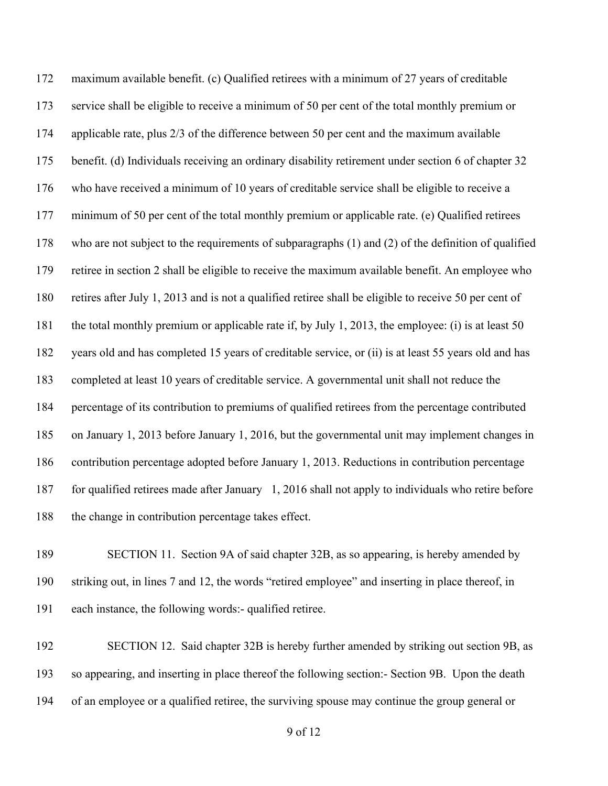maximum available benefit. (c) Qualified retirees with a minimum of 27 years of creditable service shall be eligible to receive a minimum of 50 per cent of the total monthly premium or applicable rate, plus 2/3 of the difference between 50 per cent and the maximum available benefit. (d) Individuals receiving an ordinary disability retirement under section 6 of chapter 32 who have received a minimum of 10 years of creditable service shall be eligible to receive a minimum of 50 per cent of the total monthly premium or applicable rate. (e) Qualified retirees who are not subject to the requirements of subparagraphs (1) and (2) of the definition of qualified retiree in section 2 shall be eligible to receive the maximum available benefit. An employee who retires after July 1, 2013 and is not a qualified retiree shall be eligible to receive 50 per cent of the total monthly premium or applicable rate if, by July 1, 2013, the employee: (i) is at least 50 years old and has completed 15 years of creditable service, or (ii) is at least 55 years old and has completed at least 10 years of creditable service. A governmental unit shall not reduce the percentage of its contribution to premiums of qualified retirees from the percentage contributed on January 1, 2013 before January 1, 2016, but the governmental unit may implement changes in contribution percentage adopted before January 1, 2013. Reductions in contribution percentage for qualified retirees made after January 1, 2016 shall not apply to individuals who retire before 188 the change in contribution percentage takes effect.

 SECTION 11. Section 9A of said chapter 32B, as so appearing, is hereby amended by striking out, in lines 7 and 12, the words "retired employee" and inserting in place thereof, in each instance, the following words:- qualified retiree.

192 SECTION 12. Said chapter 32B is hereby further amended by striking out section 9B, as so appearing, and inserting in place thereof the following section:- Section 9B. Upon the death of an employee or a qualified retiree, the surviving spouse may continue the group general or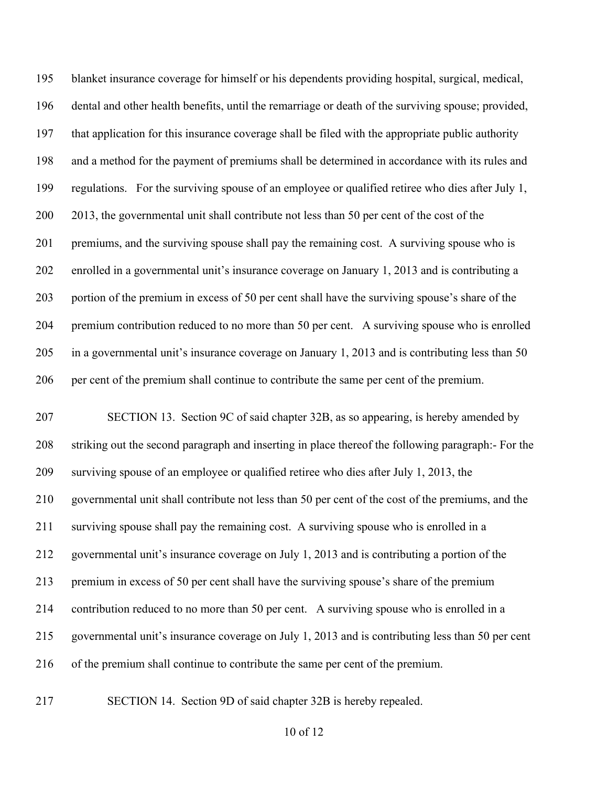blanket insurance coverage for himself or his dependents providing hospital, surgical, medical, dental and other health benefits, until the remarriage or death of the surviving spouse; provided, that application for this insurance coverage shall be filed with the appropriate public authority and a method for the payment of premiums shall be determined in accordance with its rules and regulations. For the surviving spouse of an employee or qualified retiree who dies after July 1, 200 2013, the governmental unit shall contribute not less than 50 per cent of the cost of the 201 premiums, and the surviving spouse shall pay the remaining cost. A surviving spouse who is enrolled in a governmental unit's insurance coverage on January 1, 2013 and is contributing a portion of the premium in excess of 50 per cent shall have the surviving spouse's share of the premium contribution reduced to no more than 50 per cent. A surviving spouse who is enrolled in a governmental unit's insurance coverage on January 1, 2013 and is contributing less than 50 per cent of the premium shall continue to contribute the same per cent of the premium.

 SECTION 13. Section 9C of said chapter 32B, as so appearing, is hereby amended by striking out the second paragraph and inserting in place thereof the following paragraph:- For the surviving spouse of an employee or qualified retiree who dies after July 1, 2013, the governmental unit shall contribute not less than 50 per cent of the cost of the premiums, and the surviving spouse shall pay the remaining cost. A surviving spouse who is enrolled in a governmental unit's insurance coverage on July 1, 2013 and is contributing a portion of the premium in excess of 50 per cent shall have the surviving spouse's share of the premium contribution reduced to no more than 50 per cent. A surviving spouse who is enrolled in a governmental unit's insurance coverage on July 1, 2013 and is contributing less than 50 per cent of the premium shall continue to contribute the same per cent of the premium.

SECTION 14. Section 9D of said chapter 32B is hereby repealed.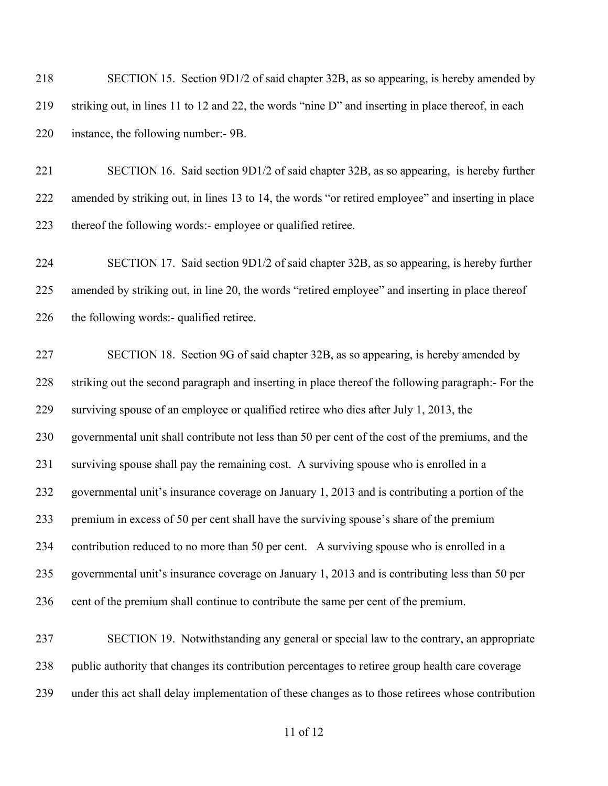| 218 | SECTION 15. Section 9D1/2 of said chapter 32B, as so appearing, is hereby amended by               |
|-----|----------------------------------------------------------------------------------------------------|
| 219 | striking out, in lines 11 to 12 and 22, the words "nine D" and inserting in place thereof, in each |
| 220 | instance, the following number:- 9B.                                                               |
| 221 | SECTION 16. Said section 9D1/2 of said chapter 32B, as so appearing, is hereby further             |
| 222 | amended by striking out, in lines 13 to 14, the words "or retired employee" and inserting in place |
| 223 | thereof the following words:- employee or qualified retiree.                                       |
| 224 | SECTION 17. Said section 9D1/2 of said chapter 32B, as so appearing, is hereby further             |
| 225 | amended by striking out, in line 20, the words "retired employee" and inserting in place thereof   |
| 226 | the following words:- qualified retiree.                                                           |
| 227 | SECTION 18. Section 9G of said chapter 32B, as so appearing, is hereby amended by                  |
| 228 | striking out the second paragraph and inserting in place thereof the following paragraph:- For the |
| 229 | surviving spouse of an employee or qualified retiree who dies after July 1, 2013, the              |
| 230 | governmental unit shall contribute not less than 50 per cent of the cost of the premiums, and the  |
| 231 | surviving spouse shall pay the remaining cost. A surviving spouse who is enrolled in a             |
| 232 | governmental unit's insurance coverage on January 1, 2013 and is contributing a portion of the     |
| 233 | premium in excess of 50 per cent shall have the surviving spouse's share of the premium            |
| 234 | contribution reduced to no more than 50 per cent. A surviving spouse who is enrolled in a          |
| 235 | governmental unit's insurance coverage on January 1, 2013 and is contributing less than 50 per     |
| 236 | cent of the premium shall continue to contribute the same per cent of the premium.                 |
| 237 | SECTION 19. Notwithstanding any general or special law to the contrary, an appropriate             |
| 238 | public authority that changes its contribution percentages to retiree group health care coverage   |
| 239 | under this act shall delay implementation of these changes as to those retirees whose contribution |
|     | 11 of 12                                                                                           |